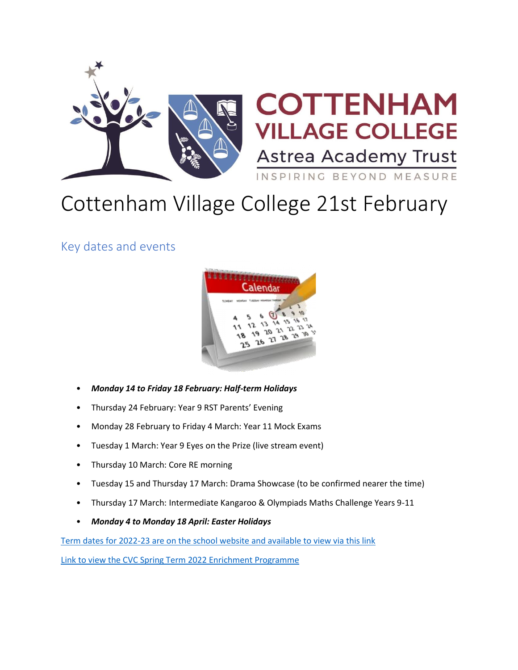

# COTTENHAM **ILLAGE COLLEGE Astrea Academy Trust** INSPIRING BEYOND MEASURE

# Cottenham Village College 21st February

Key dates and events



- *Monday 14 to Friday 18 February: Half-term Holidays*
- Thursday 24 February: Year 9 RST Parents' Evening
- Monday 28 February to Friday 4 March: Year 11 Mock Exams
- Tuesday 1 March: Year 9 Eyes on the Prize (live stream event)
- Thursday 10 March: Core RE morning
- Tuesday 15 and Thursday 17 March: Drama Showcase (to be confirmed nearer the time)
- Thursday 17 March: Intermediate Kangaroo & Olympiads Maths Challenge Years 9-11
- *Monday 4 to Monday 18 April: Easter Holidays*

[Term dates for 2022-23 are on the school website and available to view via this link](https://www.astreacottenham.org/wp-content/uploads/2022/01/Term-dates-2022-23-parental-version.pdf)

[Link to view the CVC Spring Term 2022 Enrichment Programme](https://www.astreacottenham.org/wp-content/uploads/2022/01/CVC-SPRING-Enrichment-Programme-2022.pdf)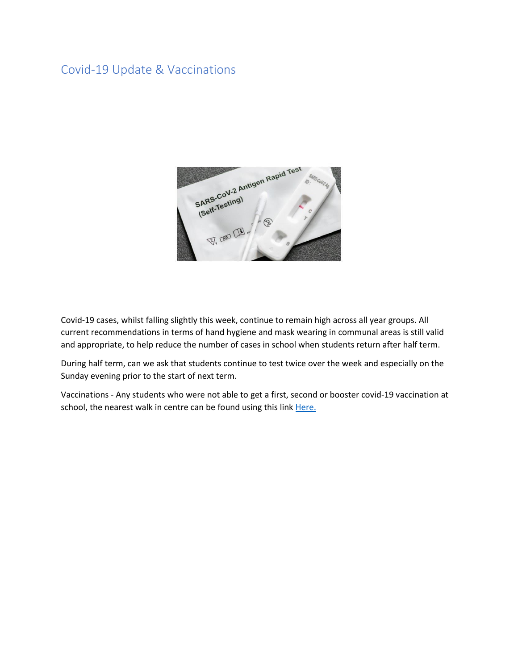# Covid-19 Update & Vaccinations



Covid-19 cases, whilst falling slightly this week, continue to remain high across all year groups. All current recommendations in terms of hand hygiene and mask wearing in communal areas is still valid and appropriate, to help reduce the number of cases in school when students return after half term.

During half term, can we ask that students continue to test twice over the week and especially on the Sunday evening prior to the start of next term.

Vaccinations - Any students who were not able to get a first, second or booster covid-19 vaccination at school, the nearest walk in centre can be found using this link Here.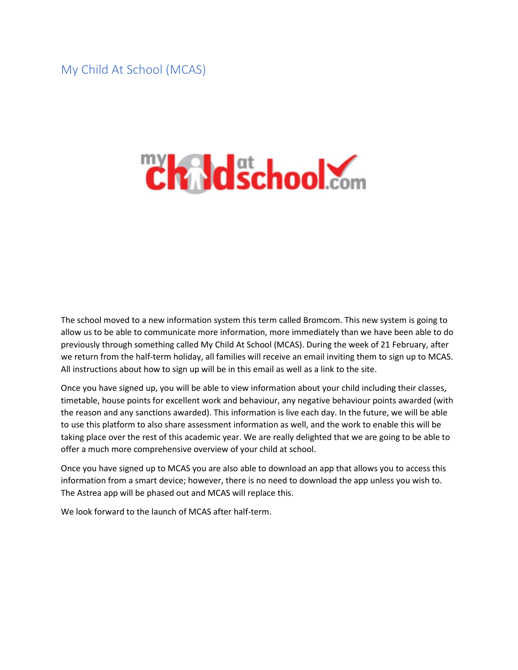My Child At School (MCAS)

# **Chaldschool.com**

The school moved to a new information system this term called Bromcom. This new system is going to allow us to be able to communicate more information, more immediately than we have been able to do previously through something called My Child At School (MCAS). During the week of 21 February, after we return from the half-term holiday, all families will receive an email inviting them to sign up to MCAS. All instructions about how to sign up will be in this email as well as a link to the site.

Once you have signed up, you will be able to view information about your child including their classes, timetable, house points for excellent work and behaviour, any negative behaviour points awarded (with the reason and any sanctions awarded). This information is live each day. In the future, we will be able to use this platform to also share assessment information as well, and the work to enable this will be taking place over the rest of this academic year. We are really delighted that we are going to be able to offer a much more comprehensive overview of your child at school.

Once you have signed up to MCAS you are also able to download an app that allows you to access this information from a smart device; however, there is no need to download the app unless you wish to. The Astrea app will be phased out and MCAS will replace this.

We look forward to the launch of MCAS after half-term.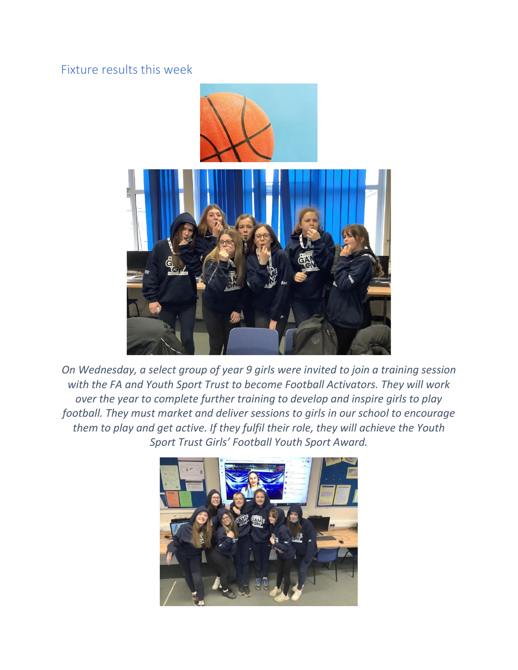# Fixture results this week



*On Wednesday, a select group of year 9 girls were invited to join a training session with the FA and Youth Sport Trust to become Football Activators. They will work over the year to complete further training to develop and inspire girls to play football. They must market and deliver sessions to girls in our school to encourage them to play and get active. If they fulfil their role, they will achieve the Youth Sport Trust Girls' Football Youth Sport Award.*

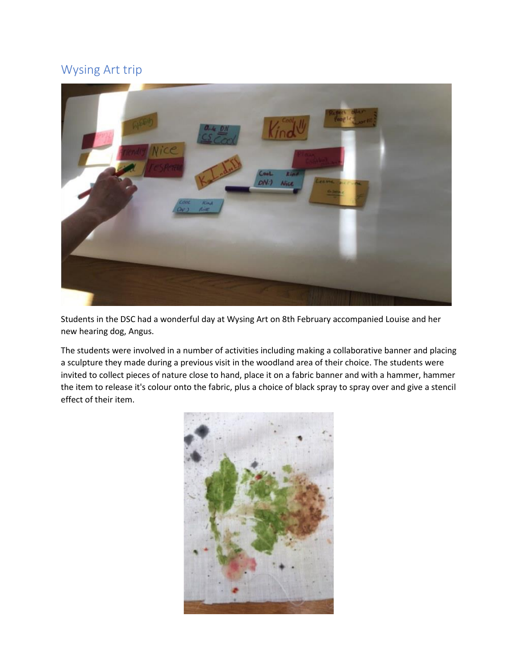# Wysing Art trip



Students in the DSC had a wonderful day at Wysing Art on 8th February accompanied Louise and her new hearing dog, Angus.

The students were involved in a number of activities including making a collaborative banner and placing a sculpture they made during a previous visit in the woodland area of their choice. The students were invited to collect pieces of nature close to hand, place it on a fabric banner and with a hammer, hammer the item to release it's colour onto the fabric, plus a choice of black spray to spray over and give a stencil effect of their item.

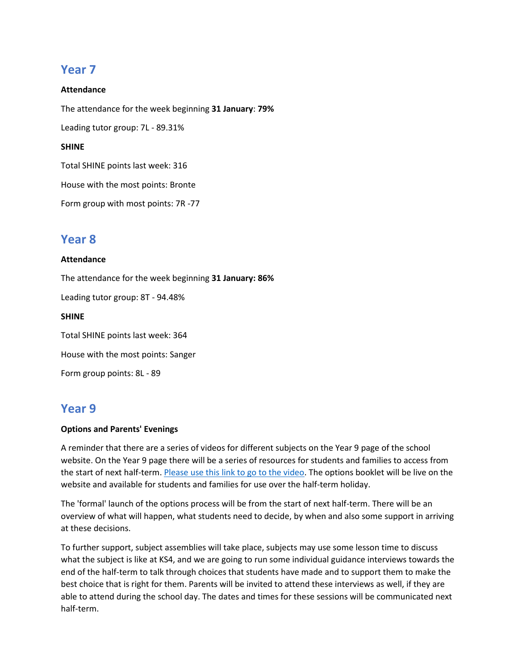# **Year 7**

#### **Attendance**

The attendance for the week beginning **31 January**: **79%**

Leading tutor group: 7L - 89.31%

#### **SHINE**

Total SHINE points last week: 316

House with the most points: Bronte

Form group with most points: 7R -77

## **Year 8**

#### **Attendance**

The attendance for the week beginning **31 January: 86%** Leading tutor group: 8T - 94.48% **SHINE** Total SHINE points last week: 364 House with the most points: Sanger Form group points: 8L - 89

# **Year 9**

#### **Options and Parents' Evenings**

A reminder that there are a series of videos for different subjects on the Year 9 page of the school website. On the Year 9 page there will be a series of resources for students and families to access from the start of next half-term. [Please use this link to go to the video.](https://www.youtube.com/playlist?list=PLWRpec3O09S4pKFritB6JJYTBAHpIlvIB) The options booklet will be live on the website and available for students and families for use over the half-term holiday.

The 'formal' launch of the options process will be from the start of next half-term. There will be an overview of what will happen, what students need to decide, by when and also some support in arriving at these decisions.

To further support, subject assemblies will take place, subjects may use some lesson time to discuss what the subject is like at KS4, and we are going to run some individual guidance interviews towards the end of the half-term to talk through choices that students have made and to support them to make the best choice that is right for them. Parents will be invited to attend these interviews as well, if they are able to attend during the school day. The dates and times for these sessions will be communicated next half-term.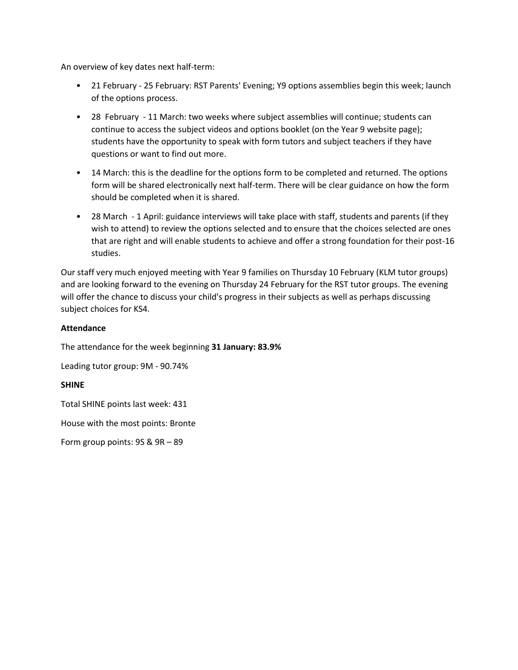An overview of key dates next half-term:

- 21 February 25 February: RST Parents' Evening; Y9 options assemblies begin this week; launch of the options process.
- 28 February 11 March: two weeks where subject assemblies will continue; students can continue to access the subject videos and options booklet (on the Year 9 website page); students have the opportunity to speak with form tutors and subject teachers if they have questions or want to find out more.
- 14 March: this is the deadline for the options form to be completed and returned. The options form will be shared electronically next half-term. There will be clear guidance on how the form should be completed when it is shared.
- 28 March 1 April: guidance interviews will take place with staff, students and parents (if they wish to attend) to review the options selected and to ensure that the choices selected are ones that are right and will enable students to achieve and offer a strong foundation for their post-16 studies.

Our staff very much enjoyed meeting with Year 9 families on Thursday 10 February (KLM tutor groups) and are looking forward to the evening on Thursday 24 February for the RST tutor groups. The evening will offer the chance to discuss your child's progress in their subjects as well as perhaps discussing subject choices for KS4.

#### **Attendance**

The attendance for the week beginning **31 January: 83.9%**

Leading tutor group: 9M - 90.74%

#### **SHINE**

Total SHINE points last week: 431

House with the most points: Bronte

Form group points: 9S & 9R – 89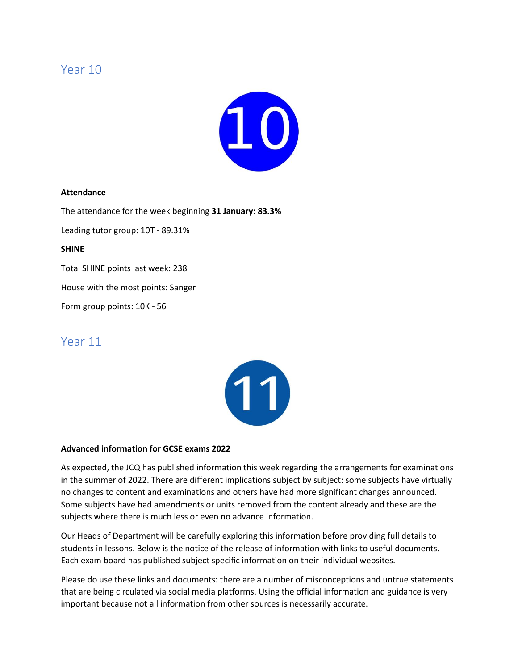## Year 10



#### **Attendance**

The attendance for the week beginning **31 January: 83.3%**

Leading tutor group: 10T - 89.31%

#### **SHINE**

Total SHINE points last week: 238

House with the most points: Sanger

Form group points: 10K - 56

## Year 11



#### **Advanced information for GCSE exams 2022**

As expected, the JCQ has published information this week regarding the arrangements for examinations in the summer of 2022. There are different implications subject by subject: some subjects have virtually no changes to content and examinations and others have had more significant changes announced. Some subjects have had amendments or units removed from the content already and these are the subjects where there is much less or even no advance information.

Our Heads of Department will be carefully exploring this information before providing full details to students in lessons. Below is the notice of the release of information with links to useful documents. Each exam board has published subject specific information on their individual websites.

Please do use these links and documents: there are a number of misconceptions and untrue statements that are being circulated via social media platforms. Using the official information and guidance is very important because not all information from other sources is necessarily accurate.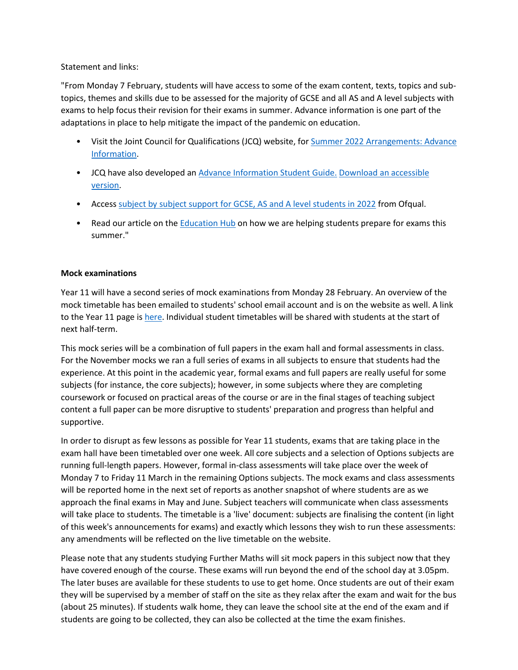#### Statement and links:

"From Monday 7 February, students will have access to some of the exam content, texts, topics and subtopics, themes and skills due to be assessed for the majority of GCSE and all AS and A level subjects with exams to help focus their revision for their exams in summer. Advance information is one part of the adaptations in place to help mitigate the impact of the pandemic on education.

- Visit the Joint Council for Qualifications (JCQ) website, for Summer 2022 Arrangements: Advance [Information.](https://linkprotect.cudasvc.com/url?a=https%3a%2f%2flnks.gd%2fl%2feyJhbGciOiJIUzI1NiJ9.eyJidWxsZXRpbl9saW5rX2lkIjoxMDIsInVyaSI6ImJwMjpjbGljayIsImJ1bGxldGluX2lkIjoiMjAyMjAyMDcuNTMwMDM0NzEiLCJ1cmwiOiJodHRwczovL3d3dy5qY3Eub3JnLnVrL3N1bW1lci0yMDIyLWFycmFuZ2VtZW50cy9hZHZhbmNlLWluZm9ybWF0aW9uLz91dG1fbWVkaXVtPWVtYWlsJnV0bV9zb3VyY2U9Z292ZGVsaXZlcnkifQ.at4ipA1n8GGuX0NSePdpRu1-nXTMBKTMymFRVRa3ugY%2fs%2f741221553%2fbr%2f126234547426-l&c=E,1,2uR_dDQEur4FTfDNIk4n5hkFl016IGgEUzGW1a_vc-cBz1YjBzP0QUcDzqIRqsgQ_ahQ6HxN7zhlz887jzSeC8pic7BxqIEd74XLTgGTZJ8,&typo=1)
- JCQ have also developed an [Advance Information Student Guide.](https://linkprotect.cudasvc.com/url?a=https%3a%2f%2flnks.gd%2fl%2feyJhbGciOiJIUzI1NiJ9.eyJidWxsZXRpbl9saW5rX2lkIjoxMDMsInVyaSI6ImJwMjpjbGljayIsImJ1bGxldGluX2lkIjoiMjAyMjAyMDcuNTMwMDM0NzEiLCJ1cmwiOiJodHRwczovL3d3dy5qY3Eub3JnLnVrL3dwLWNvbnRlbnQvdXBsb2Fkcy8yMDIyLzAyL0pDUV9BZHZhbmNlLUluZm9ybWF0aW9uLVN0dWRlbnQtR3VpZGUucGRmP3V0bV9tZWRpdW09ZW1haWwmdXRtX3NvdXJjZT1nb3ZkZWxpdmVyeSJ9.75J_xX65UxY-IZ-Eco_ojZg3AWAwR1SUIijGydzYDsM%2fs%2f741221553%2fbr%2f126234547426-l&c=E,1,y1dwXC4Y7C9-sUIxNKpqcj-3rBQMnT8lLThXQhfkb8PWhYIjzjNsYs-RgaESNhU6qjo2K-KD2UTHiL4N02m3DiQYWJmt1BAmgzlSuQjgzEeowODqN1Rz&typo=1) [Download an accessible](https://linkprotect.cudasvc.com/url?a=https%3a%2f%2flnks.gd%2fl%2feyJhbGciOiJIUzI1NiJ9.eyJidWxsZXRpbl9saW5rX2lkIjoxMDQsInVyaSI6ImJwMjpjbGljayIsImJ1bGxldGluX2lkIjoiMjAyMjAyMDcuNTMwMDM0NzEiLCJ1cmwiOiJodHRwczovL3d3dy5qY3Eub3JnLnVrL3dwLWNvbnRlbnQvdXBsb2Fkcy8yMDIyLzAyLzA3MDIyMi1BZHZhbmNlLUluZm9ybWF0aW9uLVN0dWRlbnQtR3VpZGUucGRmP3V0bV9tZWRpdW09ZW1haWwmdXRtX3NvdXJjZT1nb3ZkZWxpdmVyeSJ9.0A7PAX-kA5P0Do3HOl0b1GOrRPduldm4RxkyuO_c1Kk%2fs%2f741221553%2fbr%2f126234547426-l&c=E,1,JWcRo2ksEskaCr2GMXcna2vk_VUYZhUWW5QHKYN-NB96ZbhBux3ltiH5mg4aFfGS_Mq_Q8GjBCvS8rh3n5nfOThBoTnkg_lRU5mOhkrBdBlVRwqxuk6S-S0,&typo=1)  [version.](https://linkprotect.cudasvc.com/url?a=https%3a%2f%2flnks.gd%2fl%2feyJhbGciOiJIUzI1NiJ9.eyJidWxsZXRpbl9saW5rX2lkIjoxMDQsInVyaSI6ImJwMjpjbGljayIsImJ1bGxldGluX2lkIjoiMjAyMjAyMDcuNTMwMDM0NzEiLCJ1cmwiOiJodHRwczovL3d3dy5qY3Eub3JnLnVrL3dwLWNvbnRlbnQvdXBsb2Fkcy8yMDIyLzAyLzA3MDIyMi1BZHZhbmNlLUluZm9ybWF0aW9uLVN0dWRlbnQtR3VpZGUucGRmP3V0bV9tZWRpdW09ZW1haWwmdXRtX3NvdXJjZT1nb3ZkZWxpdmVyeSJ9.0A7PAX-kA5P0Do3HOl0b1GOrRPduldm4RxkyuO_c1Kk%2fs%2f741221553%2fbr%2f126234547426-l&c=E,1,JWcRo2ksEskaCr2GMXcna2vk_VUYZhUWW5QHKYN-NB96ZbhBux3ltiH5mg4aFfGS_Mq_Q8GjBCvS8rh3n5nfOThBoTnkg_lRU5mOhkrBdBlVRwqxuk6S-S0,&typo=1)
- Access [subject by subject support for GCSE, AS and A level students in 2022](https://linkprotect.cudasvc.com/url?a=https%3a%2f%2flnks.gd%2fl%2feyJhbGciOiJIUzI1NiJ9.eyJidWxsZXRpbl9saW5rX2lkIjoxMDUsInVyaSI6ImJwMjpjbGljayIsImJ1bGxldGluX2lkIjoiMjAyMjAyMDcuNTMwMDM0NzEiLCJ1cmwiOiJodHRwczovL3d3dy5nb3YudWsvZ3VpZGFuY2Uvc3ViamVjdC1ieS1zdWJqZWN0LXN1cHBvcnQtZm9yLWdjc2UtYXMtYW5kLWEtbGV2ZWwtc3R1ZGVudHMtaW4tMjAyMj91dG1fbWVkaXVtPWVtYWlsJnV0bV9zb3VyY2U9Z292ZGVsaXZlcnkifQ.FD_TesYfuaIUQnlf1hv3sBqv0lZpuOMyXrAXeL_Mad4%2fs%2f741221553%2fbr%2f126234547426-l&c=E,1,S2xYke4Q5cPv1W4-dLQ8yzYOuVZzH71QU6_1FUqyuLhbgwOyMcOpIPHKlI1LxBkQ26cge3yZ6y5VrBXoXKrHg84AWGHaOa6A2IYXfpywYPpsRw,,&typo=1) from Ofqual.
- Read our article on the **[Education Hub](https://linkprotect.cudasvc.com/url?a=https%3a%2f%2flnks.gd%2fl%2feyJhbGciOiJIUzI1NiJ9.eyJidWxsZXRpbl9saW5rX2lkIjoxMDYsInVyaSI6ImJwMjpjbGljayIsImJ1bGxldGluX2lkIjoiMjAyMjAyMDcuNTMwMDM0NzEiLCJ1cmwiOiJodHRwczovL2VkdWNhdGlvbmh1Yi5ibG9nLmdvdi51ay8yMDIyLzAyLzA3L2hvdy13ZS1hcmUtaGVscGluZy1zdHVkZW50cy1wcmVwYXJlLWZvci1leGFtcy10aGlzLXN1bW1lci1hZHZhbmNlLWluZm9ybWF0aW9uLz91dG1fbWVkaXVtPWVtYWlsJnV0bV9zb3VyY2U9Z292ZGVsaXZlcnkifQ.-Q1A7Sek2KlNsoQCJuH70jBcrRGhvoX82ZOnvDlx7Dc%2fs%2f741221553%2fbr%2f126234547426-l&c=E,1,JJAzxUXbNlc--r00x2qePU43-B5rMw_O5TrIp4dUjbCWpp60thP9HlsjSEbKA85JtqDbEQAOUfuFZJsNZMZ234MGkf0kKrXW5amRBNjce3lO_n8btwtdXA,,&typo=1)** on how we are helping students prepare for exams this summer."

#### **Mock examinations**

Year 11 will have a second series of mock examinations from Monday 28 February. An overview of the mock timetable has been emailed to students' school email account and is on the website as well. A link to the Year 11 page is [here.](https://www.astreacottenham.org/wp-content/uploads/2022/02/CVC-Year-11-February-Mock-Timetable-2022.pdf) Individual student timetables will be shared with students at the start of next half-term.

This mock series will be a combination of full papers in the exam hall and formal assessments in class. For the November mocks we ran a full series of exams in all subjects to ensure that students had the experience. At this point in the academic year, formal exams and full papers are really useful for some subjects (for instance, the core subjects); however, in some subjects where they are completing coursework or focused on practical areas of the course or are in the final stages of teaching subject content a full paper can be more disruptive to students' preparation and progress than helpful and supportive.

In order to disrupt as few lessons as possible for Year 11 students, exams that are taking place in the exam hall have been timetabled over one week. All core subjects and a selection of Options subjects are running full-length papers. However, formal in-class assessments will take place over the week of Monday 7 to Friday 11 March in the remaining Options subjects. The mock exams and class assessments will be reported home in the next set of reports as another snapshot of where students are as we approach the final exams in May and June. Subject teachers will communicate when class assessments will take place to students. The timetable is a 'live' document: subjects are finalising the content (in light of this week's announcements for exams) and exactly which lessons they wish to run these assessments: any amendments will be reflected on the live timetable on the website.

Please note that any students studying Further Maths will sit mock papers in this subject now that they have covered enough of the course. These exams will run beyond the end of the school day at 3.05pm. The later buses are available for these students to use to get home. Once students are out of their exam they will be supervised by a member of staff on the site as they relax after the exam and wait for the bus (about 25 minutes). If students walk home, they can leave the school site at the end of the exam and if students are going to be collected, they can also be collected at the time the exam finishes.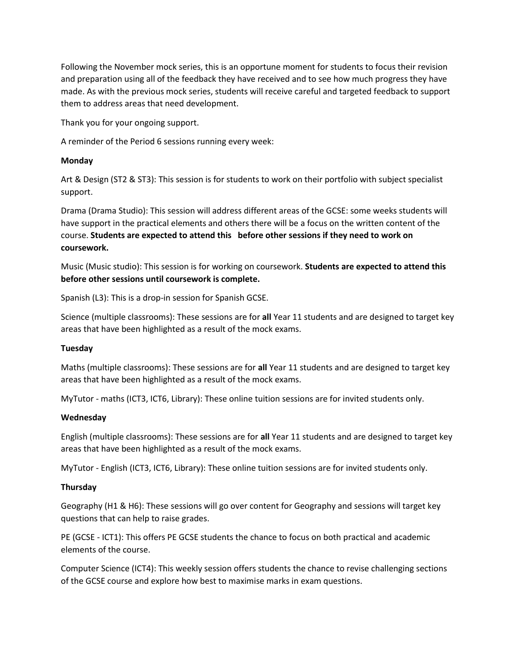Following the November mock series, this is an opportune moment for students to focus their revision and preparation using all of the feedback they have received and to see how much progress they have made. As with the previous mock series, students will receive careful and targeted feedback to support them to address areas that need development.

Thank you for your ongoing support.

A reminder of the Period 6 sessions running every week:

#### **Monday**

Art & Design (ST2 & ST3): This session is for students to work on their portfolio with subject specialist support.

Drama (Drama Studio): This session will address different areas of the GCSE: some weeks students will have support in the practical elements and others there will be a focus on the written content of the course. **Students are expected to attend this before other sessions if they need to work on coursework.**

Music (Music studio): This session is for working on coursework. **Students are expected to attend this before other sessions until coursework is complete.**

Spanish (L3): This is a drop-in session for Spanish GCSE.

Science (multiple classrooms): These sessions are for **all** Year 11 students and are designed to target key areas that have been highlighted as a result of the mock exams.

#### **Tuesday**

Maths (multiple classrooms): These sessions are for **all** Year 11 students and are designed to target key areas that have been highlighted as a result of the mock exams.

MyTutor - maths (ICT3, ICT6, Library): These online tuition sessions are for invited students only.

#### **Wednesday**

English (multiple classrooms): These sessions are for **all** Year 11 students and are designed to target key areas that have been highlighted as a result of the mock exams.

MyTutor - English (ICT3, ICT6, Library): These online tuition sessions are for invited students only.

#### **Thursday**

Geography (H1 & H6): These sessions will go over content for Geography and sessions will target key questions that can help to raise grades.

PE (GCSE - ICT1): This offers PE GCSE students the chance to focus on both practical and academic elements of the course.

Computer Science (ICT4): This weekly session offers students the chance to revise challenging sections of the GCSE course and explore how best to maximise marks in exam questions.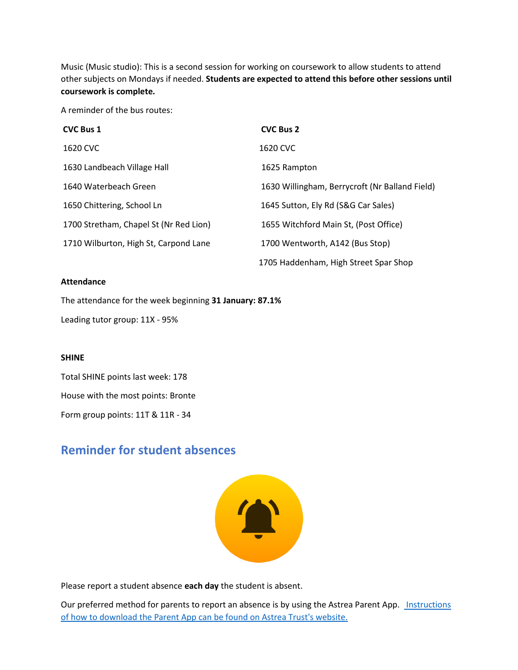Music (Music studio): This is a second session for working on coursework to allow students to attend other subjects on Mondays if needed. **Students are expected to attend this before other sessions until coursework is complete.**

A reminder of the bus routes:

| <b>CVC Bus 1</b>                       | <b>CVC Bus 2</b>                               |
|----------------------------------------|------------------------------------------------|
| 1620 CVC                               | 1620 CVC                                       |
| 1630 Landbeach Village Hall            | 1625 Rampton                                   |
| 1640 Waterbeach Green                  | 1630 Willingham, Berrycroft (Nr Balland Field) |
| 1650 Chittering, School Ln             | 1645 Sutton, Ely Rd (S&G Car Sales)            |
| 1700 Stretham, Chapel St (Nr Red Lion) | 1655 Witchford Main St, (Post Office)          |
| 1710 Wilburton, High St, Carpond Lane  | 1700 Wentworth, A142 (Bus Stop)                |
|                                        | 1705 Haddenham, High Street Spar Shop          |

#### **Attendance**

The attendance for the week beginning **31 January: 87.1%**

Leading tutor group: 11X - 95%

#### **SHINE**

Total SHINE points last week: 178 House with the most points: Bronte Form group points: 11T & 11R - 34

# **Reminder for student absences**



Please report a student absence **each day** the student is absent.

Our preferred method for parents to report an absence is by using the Astrea Parent App. *Instructions* [of how to download the Parent App can be found on Astrea Trust's website.](https://astreaacademytrust.org/astrea-app/)